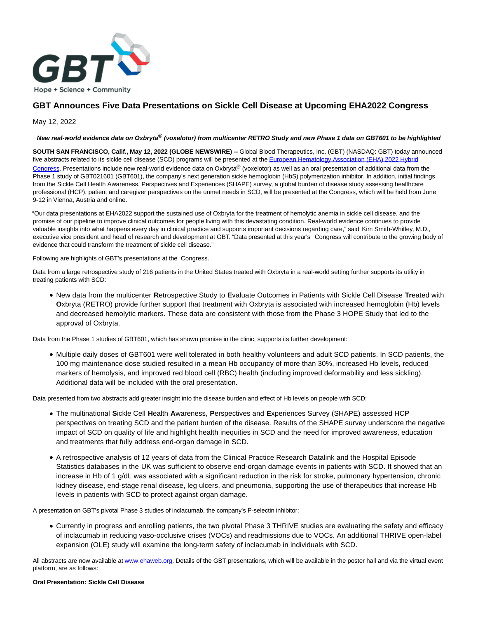

# **GBT Announces Five Data Presentations on Sickle Cell Disease at Upcoming EHA2022 Congress**

May 12, 2022

## **New real-world evidence data on Oxbryta® (voxelotor) from multicenter RETRO Study and new Phase 1 data on GBT601 to be highlighted**

**SOUTH SAN FRANCISCO, Calif., May 12, 2022 (GLOBE NEWSWIRE) --** Global Blood Therapeutics, Inc. (GBT) (NASDAQ: GBT) today announced five abstracts related to its sickle cell disease (SCD) programs will be presented at th[e European Hematology Association \(EHA\) 2022 Hybrid](https://www.globenewswire.com/Tracker?data=zm84BOGKJxJdfx3KJ0C_39WFIiaLP0rbygQZ5zLmvmnOa1sCpuEz3cmfJAnb9EjC8mkwyjAwmdjFBDbk_aSpn2Wpgfg7_N91CxfsR514eogAX7-AdKAfH0nEYqSHsPxHCcjHeDWwOCFLaW4E3AiJBUY1Gcy40o8tgijtPmGl7h4AT87dZC2hY7ejqjRzxnvI) Congress. Presentations include new real-world evidence data on Oxbryta® (voxelotor) as well as an oral presentation of additional data from the Phase 1 study of GBT021601 (GBT601), the company's next generation sickle hemoglobin (HbS) polymerization inhibitor. In addition, initial findings from the Sickle Cell Health Awareness, Perspectives and Experiences (SHAPE) survey, a global burden of disease study assessing healthcare professional (HCP), patient and caregiver perspectives on the unmet needs in SCD, will be presented at the Congress, which will be held from June 9-12 in Vienna, Austria and online.

"Our data presentations at EHA2022 support the sustained use of Oxbryta for the treatment of hemolytic anemia in sickle cell disease, and the promise of our pipeline to improve clinical outcomes for people living with this devastating condition. Real-world evidence continues to provide valuable insights into what happens every day in clinical practice and supports important decisions regarding care," said Kim Smith-Whitley, M.D., executive vice president and head of research and development at GBT. "Data presented at this year's Congress will contribute to the growing body of evidence that could transform the treatment of sickle cell disease."

Following are highlights of GBT's presentations at the Congress.

Data from a large retrospective study of 216 patients in the United States treated with Oxbryta in a real-world setting further supports its utility in treating patients with SCD:

New data from the multicenter **R**etrospective Study to **E**valuate Outcomes in Patients with Sickle Cell Disease **Tr**eated with **O**xbryta (RETRO) provide further support that treatment with Oxbryta is associated with increased hemoglobin (Hb) levels and decreased hemolytic markers. These data are consistent with those from the Phase 3 HOPE Study that led to the approval of Oxbryta.

Data from the Phase 1 studies of GBT601, which has shown promise in the clinic, supports its further development:

Multiple daily doses of GBT601 were well tolerated in both healthy volunteers and adult SCD patients. In SCD patients, the 100 mg maintenance dose studied resulted in a mean Hb occupancy of more than 30%, increased Hb levels, reduced markers of hemolysis, and improved red blood cell (RBC) health (including improved deformability and less sickling). Additional data will be included with the oral presentation.

Data presented from two abstracts add greater insight into the disease burden and effect of Hb levels on people with SCD:

- The multinational **S**ickle Cell **H**ealth **A**wareness, **P**erspectives and **E**xperiences Survey (SHAPE) assessed HCP perspectives on treating SCD and the patient burden of the disease. Results of the SHAPE survey underscore the negative impact of SCD on quality of life and highlight health inequities in SCD and the need for improved awareness, education and treatments that fully address end-organ damage in SCD.
- A retrospective analysis of 12 years of data from the Clinical Practice Research Datalink and the Hospital Episode Statistics databases in the UK was sufficient to observe end-organ damage events in patients with SCD. It showed that an increase in Hb of 1 g/dL was associated with a significant reduction in the risk for stroke, pulmonary hypertension, chronic kidney disease, end-stage renal disease, leg ulcers, and pneumonia, supporting the use of therapeutics that increase Hb levels in patients with SCD to protect against organ damage.

A presentation on GBT's pivotal Phase 3 studies of inclacumab, the company's P-selectin inhibitor:

Currently in progress and enrolling patients, the two pivotal Phase 3 THRIVE studies are evaluating the safety and efficacy of inclacumab in reducing vaso-occlusive crises (VOCs) and readmissions due to VOCs. An additional THRIVE open-label expansion (OLE) study will examine the long-term safety of inclacumab in individuals with SCD.

All abstracts are now available at [www.ehaweb.org.](https://www.globenewswire.com/Tracker?data=QPSSBPpzJvl0uCGwZfri_Qlj5mnM7xh9YqLymTadA2RC6P0El-KI3aWxDMBGJwH6pw3dyHNQmcAnlj6sHgq0rw==) Details of the GBT presentations, which will be available in the poster hall and via the virtual event platform, are as follows:

## **Oral Presentation: Sickle Cell Disease**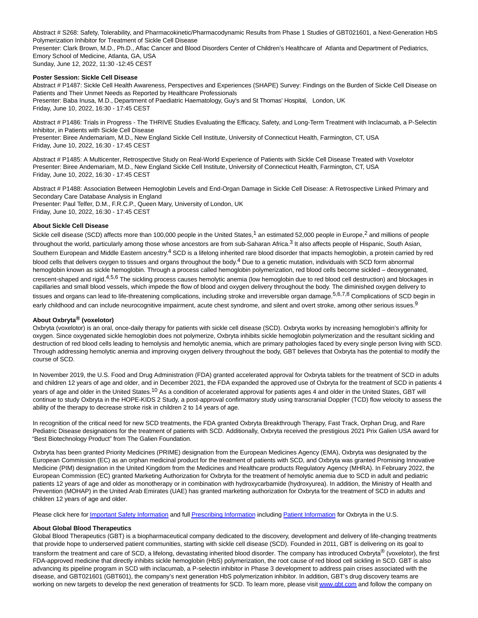Abstract # S268: Safety, Tolerability, and Pharmacokinetic/Pharmacodynamic Results from Phase 1 Studies of GBT021601, a Next-Generation HbS Polymerization Inhibitor for Treatment of Sickle Cell Disease Presenter: Clark Brown, M.D., Ph.D., Aflac Cancer and Blood Disorders Center of Children's Healthcare of Atlanta and Department of Pediatrics, Emory School of Medicine, Atlanta, GA, USA Sunday, June 12, 2022, 11:30 -12:45 CEST

## **Poster Session: Sickle Cell Disease**

Abstract # P1487: Sickle Cell Health Awareness, Perspectives and Experiences (SHAPE) Survey: Findings on the Burden of Sickle Cell Disease on Patients and Their Unmet Needs as Reported by Healthcare Professionals Presenter: Baba Inusa, M.D., Department of Paediatric Haematology, Guy's and St Thomas' Hospital, London, UK Friday, June 10, 2022, 16:30 - 17:45 CEST

Abstract # P1486: Trials in Progress - The THRIVE Studies Evaluating the Efficacy, Safety, and Long-Term Treatment with Inclacumab, a P-Selectin Inhibitor, in Patients with Sickle Cell Disease Presenter: Biree Andemariam, M.D., New England Sickle Cell Institute, University of Connecticut Health, Farmington, CT, USA Friday, June 10, 2022, 16:30 - 17:45 CEST

Abstract # P1485: A Multicenter, Retrospective Study on Real-World Experience of Patients with Sickle Cell Disease Treated with Voxelotor Presenter: Biree Andemariam, M.D., New England Sickle Cell Institute, University of Connecticut Health, Farmington, CT, USA Friday, June 10, 2022, 16:30 - 17:45 CEST

Abstract # P1488: Association Between Hemoglobin Levels and End-Organ Damage in Sickle Cell Disease: A Retrospective Linked Primary and Secondary Care Database Analysis in England Presenter: Paul Telfer, D.M., F.R.C.P., Queen Mary, University of London, UK Friday, June 10, 2022, 16:30 - 17:45 CEST

### **About Sickle Cell Disease**

Sickle cell disease (SCD) affects more than 100,000 people in the United States,<sup>1</sup> an estimated 52,000 people in Europe,<sup>2</sup> and millions of people throughout the world, particularly among those whose ancestors are from sub-Saharan Africa.<sup>3</sup> It also affects people of Hispanic, South Asian, Southern European and Middle Eastern ancestry.<sup>4</sup> SCD is a lifelong inherited rare blood disorder that impacts hemoglobin, a protein carried by red blood cells that delivers oxygen to tissues and organs throughout the body.<sup>4</sup> Due to a genetic mutation, individuals with SCD form abnormal hemoglobin known as sickle hemoglobin. Through a process called hemoglobin polymerization, red blood cells become sickled – deoxygenated, crescent-shaped and rigid.<sup>4,5,6</sup> The sickling process causes hemolytic anemia (low hemoglobin due to red blood cell destruction) and blockages in capillaries and small blood vessels, which impede the flow of blood and oxygen delivery throughout the body. The diminished oxygen delivery to tissues and organs can lead to life-threatening complications, including stroke and irreversible organ damage.<sup>5,6,7,8</sup> Complications of SCD begin in early childhood and can include neurocognitive impairment, acute chest syndrome, and silent and overt stroke, among other serious issues.<sup>9</sup>

## **About Oxbryta® (voxelotor)**

Oxbryta (voxelotor) is an oral, once-daily therapy for patients with sickle cell disease (SCD). Oxbryta works by increasing hemoglobin's affinity for oxygen. Since oxygenated sickle hemoglobin does not polymerize, Oxbryta inhibits sickle hemoglobin polymerization and the resultant sickling and destruction of red blood cells leading to hemolysis and hemolytic anemia, which are primary pathologies faced by every single person living with SCD. Through addressing hemolytic anemia and improving oxygen delivery throughout the body, GBT believes that Oxbryta has the potential to modify the course of SCD.

In November 2019, the U.S. Food and Drug Administration (FDA) granted accelerated approval for Oxbryta tablets for the treatment of SCD in adults and children 12 years of age and older, and in December 2021, the FDA expanded the approved use of Oxbryta for the treatment of SCD in patients 4 years of age and older in the United States.<sup>10</sup> As a condition of accelerated approval for patients ages 4 and older in the United States, GBT will continue to study Oxbryta in the HOPE-KIDS 2 Study, a post-approval confirmatory study using transcranial Doppler (TCD) flow velocity to assess the ability of the therapy to decrease stroke risk in children 2 to 14 years of age.

In recognition of the critical need for new SCD treatments, the FDA granted Oxbryta Breakthrough Therapy, Fast Track, Orphan Drug, and Rare Pediatric Disease designations for the treatment of patients with SCD. Additionally, Oxbryta received the prestigious 2021 Prix Galien USA award for "Best Biotechnology Product" from The Galien Foundation.

Oxbryta has been granted Priority Medicines (PRIME) designation from the European Medicines Agency (EMA), Oxbryta was designated by the European Commission (EC) as an orphan medicinal product for the treatment of patients with SCD, and Oxbryta was granted Promising Innovative Medicine (PIM) designation in the United Kingdom from the Medicines and Healthcare products Regulatory Agency (MHRA). In February 2022, the European Commission (EC) granted Marketing Authorization for Oxbryta for the treatment of hemolytic anemia due to SCD in adult and pediatric patients 12 years of age and older as monotherapy or in combination with hydroxycarbamide (hydroxyurea). In addition, the Ministry of Health and Prevention (MOHAP) in the United Arab Emirates (UAE) has granted marketing authorization for Oxbryta for the treatment of SCD in adults and children 12 years of age and older.

Please click here for *Important Safety Information* and full *Prescribing Information* including *Patient Information* for Oxbryta in the U.S.

#### **About Global Blood Therapeutics**

Global Blood Therapeutics (GBT) is a biopharmaceutical company dedicated to the discovery, development and delivery of life-changing treatments that provide hope to underserved patient communities, starting with sickle cell disease (SCD). Founded in 2011, GBT is delivering on its goal to transform the treatment and care of SCD, a lifelong, devastating inherited blood disorder. The company has introduced Oxbryta® (voxelotor), the first FDA-approved medicine that directly inhibits sickle hemoglobin (HbS) polymerization, the root cause of red blood cell sickling in SCD. GBT is also advancing its pipeline program in SCD with inclacumab, a P-selectin inhibitor in Phase 3 development to address pain crises associated with the disease, and GBT021601 (GBT601), the company's next generation HbS polymerization inhibitor. In addition, GBT's drug discovery teams are working on new targets to develop the next generation of treatments for SCD. To learn more, please visi[t www.gbt.com a](https://www.globenewswire.com/Tracker?data=elci_6aGPUc_pOGnFF8k2wl8k-I5PrxuD4kGScPYzZqubHHVgAdKssqnocWpaAga_fXqJiZEShrSaJOe6MiJhw==)nd follow the company on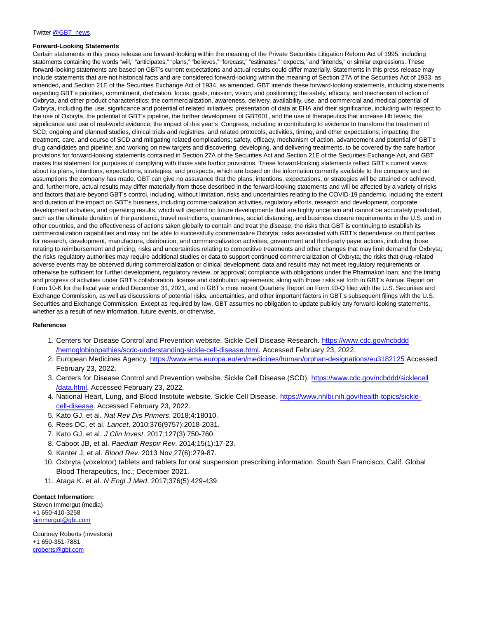### Twitter [@GBT\\_news.](https://www.globenewswire.com/Tracker?data=OHmQbfvv5bn5HG2jwmIfmHxflvHA2nCsNV2PxAigm20TtBqTbrsVLFwaFd58FF3rPd-10S7fW39wg5EgA6virgLyYRRjAYc1j2qVUFdg6fpexVudVqNoAqQb-nhj8viDOK_TXBIsTP9hHizxCugbDDj5mRdsMEmOkEb9sJOr_X4azy3zmPtd9j2pbA_pa7akOFACpwE7ZGAKqYlqArS4Jre9zYRczPT4rqP9AS_84sw=)

### **Forward-Looking Statements**

Certain statements in this press release are forward-looking within the meaning of the Private Securities Litigation Reform Act of 1995, including statements containing the words "will," "anticipates," "plans," "believes," "forecast," "estimates," "expects," and "intends," or similar expressions. These forward-looking statements are based on GBT's current expectations and actual results could differ materially. Statements in this press release may include statements that are not historical facts and are considered forward-looking within the meaning of Section 27A of the Securities Act of 1933, as amended, and Section 21E of the Securities Exchange Act of 1934, as amended. GBT intends these forward-looking statements, including statements regarding GBT's priorities, commitment, dedication, focus, goals, mission, vision, and positioning; the safety, efficacy, and mechanism of action of Oxbryta, and other product characteristics; the commercialization, awareness, delivery, availability, use, and commercial and medical potential of Oxbryta, including the use, significance and potential of related initiatives; presentation of data at EHA and their significance, including with respect to the use of Oxbryta, the potential of GBT's pipeline, the further development of GBT601, and the use of therapeutics that increase Hb levels; the significance and use of real-world evidence; the impact of this year's Congress, including in contributing to evidence to transform the treatment of SCD; ongoing and planned studies, clinical trials and registries, and related protocols, activities, timing, and other expectations; impacting the treatment, care, and course of SCD and mitigating related complications; safety, efficacy, mechanism of action, advancement and potential of GBT's drug candidates and pipeline; and working on new targets and discovering, developing, and delivering treatments, to be covered by the safe harbor provisions for forward-looking statements contained in Section 27A of the Securities Act and Section 21E of the Securities Exchange Act, and GBT makes this statement for purposes of complying with those safe harbor provisions. These forward-looking statements reflect GBT's current views about its plans, intentions, expectations, strategies, and prospects, which are based on the information currently available to the company and on assumptions the company has made. GBT can give no assurance that the plans, intentions, expectations, or strategies will be attained or achieved, and, furthermore, actual results may differ materially from those described in the forward-looking statements and will be affected by a variety of risks and factors that are beyond GBT's control, including, without limitation, risks and uncertainties relating to the COVID-19 pandemic, including the extent and duration of the impact on GBT's business, including commercialization activities, regulatory efforts, research and development, corporate development activities, and operating results, which will depend on future developments that are highly uncertain and cannot be accurately predicted, such as the ultimate duration of the pandemic, travel restrictions, quarantines, social distancing, and business closure requirements in the U.S. and in other countries, and the effectiveness of actions taken globally to contain and treat the disease; the risks that GBT is continuing to establish its commercialization capabilities and may not be able to successfully commercialize Oxbryta; risks associated with GBT's dependence on third parties for research, development, manufacture, distribution, and commercialization activities; government and third-party payer actions, including those relating to reimbursement and pricing; risks and uncertainties relating to competitive treatments and other changes that may limit demand for Oxbryta; the risks regulatory authorities may require additional studies or data to support continued commercialization of Oxbryta; the risks that drug-related adverse events may be observed during commercialization or clinical development; data and results may not meet regulatory requirements or otherwise be sufficient for further development, regulatory review, or approval; compliance with obligations under the Pharmakon loan; and the timing and progress of activities under GBT's collaboration, license and distribution agreements; along with those risks set forth in GBT's Annual Report on Form 10-K for the fiscal year ended December 31, 2021, and in GBT's most recent Quarterly Report on Form 10-Q filed with the U.S. Securities and Exchange Commission, as well as discussions of potential risks, uncertainties, and other important factors in GBT's subsequent filings with the U.S. Securities and Exchange Commission. Except as required by law, GBT assumes no obligation to update publicly any forward-looking statements, whether as a result of new information, future events, or otherwise.

## **References**

- 1. Centers for Disease Control and Prevention website. Sickle Cell Disease Research. [https://www.cdc.gov/ncbddd](https://www.cdc.gov/ncbddd/hemoglobinopathies/scdc-understanding-sickle-cell-disease.html) /hemoglobinopathies/scdc-understanding-sickle-cell-disease.html. Accessed February 23, 2022.
- European Medicines Agency. [https://www.ema.europa.eu/en/medicines/human/orphan-designations/eu3182125 A](https://www.ema.europa.eu/en/medicines/human/orphan-designations/eu3182125)ccessed 2. February 23, 2022.
- 3. Centers for Disease Control and Prevention website. Sickle Cell Disease (SCD). [https://www.cdc.gov/ncbddd/sicklecell](https://www.cdc.gov/ncbddd/sicklecell/data.html) /data.html. Accessed February 23, 2022.
- 4. National Heart, Lung, and Blood Institute website. Sickle Cell Disease. [https://www.nhlbi.nih.gov/health-topics/sickle](https://www.nhlbi.nih.gov/health-topics/sickle-cell-disease)cell-disease. Accessed February 23, 2022.
- 5. Kato GJ, et al. Nat Rev Dis Primers. 2018;4:18010.
- 6. Rees DC, et al. Lancet. 2010;376(9757):2018-2031.
- 7. Kato GJ, et al. J Clin Invest. 2017;127(3):750-760.
- 8. Caboot JB, et al. Paediatr Respir Rev. 2014;15(1):17-23.
- 9. Kanter J, et al. Blood Rev. 2013 Nov;27(6):279-87.
- 10. Oxbryta (voxelotor) tablets and tablets for oral suspension prescribing information. South San Francisco, Calif. Global Blood Therapeutics, Inc.; December 2021.
- 11. Ataga K. et al. N Engl J Med. 2017;376(5):429-439.

**Contact Information:**

Steven Immergut (media) +1 650-410-3258 [simmergut@gbt.com](https://www.globenewswire.com/Tracker?data=5lXofohXgOVqwvgTOSN8D7iNIRomjmrCBRZ7or5T70DBq85BFt16j-3m0FHEsbT3_CC3-XVizlSmAorNHd_okA==)

Courtney Roberts (investors) +1 650-351-7881 [croberts@gbt.com](https://www.globenewswire.com/Tracker?data=y-h2QDsmCgbm2DlvhmFtq17GGREYtg_npCwaZERUejJIN_rUOabqV7AcLHwyLGRHErS0vEV2Af0EXx4JWefXpA==)